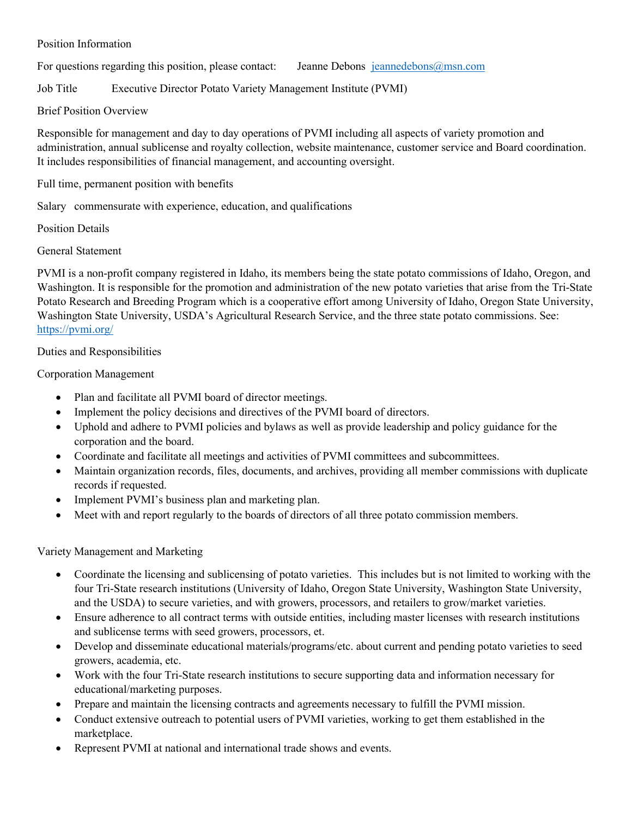#### Position Information

For questions regarding this position, please contact: Jeanne Debons [jeannedebons@msn.com](mailto:jeannedebons@msn.com)

Job Title Executive Director Potato Variety Management Institute (PVMI)

## Brief Position Overview

Responsible for management and day to day operations of PVMI including all aspects of variety promotion and administration, annual sublicense and royalty collection, website maintenance, customer service and Board coordination. It includes responsibilities of financial management, and accounting oversight.

Full time, permanent position with benefits

Salary commensurate with experience, education, and qualifications

Position Details

General Statement

PVMI is a non-profit company registered in Idaho, its members being the state potato commissions of Idaho, Oregon, and Washington. It is responsible for the promotion and administration of the new potato varieties that arise from the Tri-State Potato Research and Breeding Program which is a cooperative effort among University of Idaho, Oregon State University, Washington State University, USDA's Agricultural Research Service, and the three state potato commissions. See: <https://pvmi.org/>

## Duties and Responsibilities

# Corporation Management

- Plan and facilitate all PVMI board of director meetings.
- Implement the policy decisions and directives of the PVMI board of directors.
- Uphold and adhere to PVMI policies and bylaws as well as provide leadership and policy guidance for the corporation and the board.
- Coordinate and facilitate all meetings and activities of PVMI committees and subcommittees.
- Maintain organization records, files, documents, and archives, providing all member commissions with duplicate records if requested.
- Implement PVMI's business plan and marketing plan.
- Meet with and report regularly to the boards of directors of all three potato commission members.

Variety Management and Marketing

- Coordinate the licensing and sublicensing of potato varieties. This includes but is not limited to working with the four Tri-State research institutions (University of Idaho, Oregon State University, Washington State University, and the USDA) to secure varieties, and with growers, processors, and retailers to grow/market varieties.
- Ensure adherence to all contract terms with outside entities, including master licenses with research institutions and sublicense terms with seed growers, processors, et.
- Develop and disseminate educational materials/programs/etc. about current and pending potato varieties to seed growers, academia, etc.
- Work with the four Tri-State research institutions to secure supporting data and information necessary for educational/marketing purposes.
- Prepare and maintain the licensing contracts and agreements necessary to fulfill the PVMI mission.
- Conduct extensive outreach to potential users of PVMI varieties, working to get them established in the marketplace.
- Represent PVMI at national and international trade shows and events.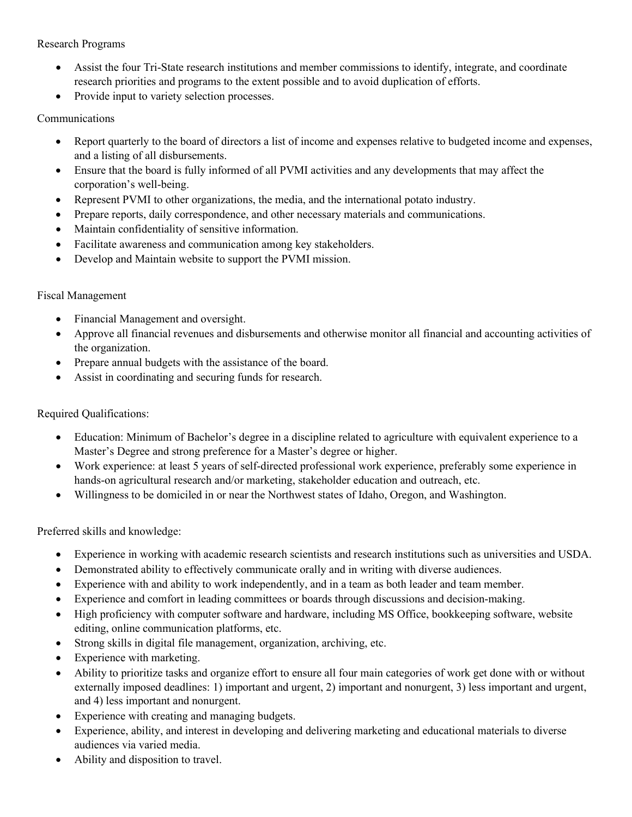### Research Programs

- Assist the four Tri-State research institutions and member commissions to identify, integrate, and coordinate research priorities and programs to the extent possible and to avoid duplication of efforts.
- Provide input to variety selection processes.

## Communications

- Report quarterly to the board of directors a list of income and expenses relative to budgeted income and expenses, and a listing of all disbursements.
- Ensure that the board is fully informed of all PVMI activities and any developments that may affect the corporation's well-being.
- Represent PVMI to other organizations, the media, and the international potato industry.
- Prepare reports, daily correspondence, and other necessary materials and communications.
- Maintain confidentiality of sensitive information.
- Facilitate awareness and communication among key stakeholders.
- Develop and Maintain website to support the PVMI mission.

#### Fiscal Management

- Financial Management and oversight.
- Approve all financial revenues and disbursements and otherwise monitor all financial and accounting activities of the organization.
- Prepare annual budgets with the assistance of the board.
- Assist in coordinating and securing funds for research.

## Required Qualifications:

- Education: Minimum of Bachelor's degree in a discipline related to agriculture with equivalent experience to a Master's Degree and strong preference for a Master's degree or higher.
- Work experience: at least 5 years of self-directed professional work experience, preferably some experience in hands-on agricultural research and/or marketing, stakeholder education and outreach, etc.
- Willingness to be domiciled in or near the Northwest states of Idaho, Oregon, and Washington.

Preferred skills and knowledge:

- Experience in working with academic research scientists and research institutions such as universities and USDA.
- Demonstrated ability to effectively communicate orally and in writing with diverse audiences.
- Experience with and ability to work independently, and in a team as both leader and team member.
- Experience and comfort in leading committees or boards through discussions and decision-making.
- High proficiency with computer software and hardware, including MS Office, bookkeeping software, website editing, online communication platforms, etc.
- Strong skills in digital file management, organization, archiving, etc.
- Experience with marketing.
- Ability to prioritize tasks and organize effort to ensure all four main categories of work get done with or without externally imposed deadlines: 1) important and urgent, 2) important and nonurgent, 3) less important and urgent, and 4) less important and nonurgent.
- Experience with creating and managing budgets.
- Experience, ability, and interest in developing and delivering marketing and educational materials to diverse audiences via varied media.
- Ability and disposition to travel.